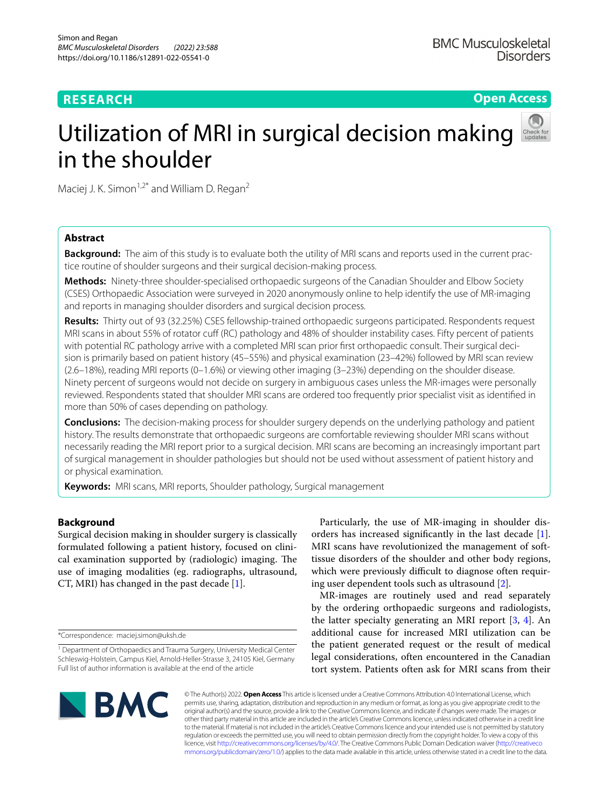# **RESEARCH**

**Open Access**

# Utilization of MRI in surgical decision making in the shoulder

Maciej J. K. Simon $1.2^*$  and William D. Regan<sup>2</sup>

# **Abstract**

**Background:** The aim of this study is to evaluate both the utility of MRI scans and reports used in the current practice routine of shoulder surgeons and their surgical decision-making process.

**Methods:** Ninety-three shoulder-specialised orthopaedic surgeons of the Canadian Shoulder and Elbow Society (CSES) Orthopaedic Association were surveyed in 2020 anonymously online to help identify the use of MR-imaging and reports in managing shoulder disorders and surgical decision process.

**Results:** Thirty out of 93 (32.25%) CSES fellowship-trained orthopaedic surgeons participated. Respondents request MRI scans in about 55% of rotator cuff (RC) pathology and 48% of shoulder instability cases. Fifty percent of patients with potential RC pathology arrive with a completed MRI scan prior frst orthopaedic consult. Their surgical decision is primarily based on patient history (45–55%) and physical examination (23–42%) followed by MRI scan review (2.6–18%), reading MRI reports (0–1.6%) or viewing other imaging (3–23%) depending on the shoulder disease. Ninety percent of surgeons would not decide on surgery in ambiguous cases unless the MR-images were personally reviewed. Respondents stated that shoulder MRI scans are ordered too frequently prior specialist visit as identifed in more than 50% of cases depending on pathology.

**Conclusions:** The decision-making process for shoulder surgery depends on the underlying pathology and patient history. The results demonstrate that orthopaedic surgeons are comfortable reviewing shoulder MRI scans without necessarily reading the MRI report prior to a surgical decision. MRI scans are becoming an increasingly important part of surgical management in shoulder pathologies but should not be used without assessment of patient history and or physical examination.

**Keywords:** MRI scans, MRI reports, Shoulder pathology, Surgical management

# **Background**

Surgical decision making in shoulder surgery is classically formulated following a patient history, focused on clinical examination supported by (radiologic) imaging. The use of imaging modalities (eg. radiographs, ultrasound, CT, MRI) has changed in the past decade [[1\]](#page-9-0).

\*Correspondence: maciej.simon@uksh.de

Particularly, the use of MR-imaging in shoulder disorders has increased signifcantly in the last decade [\[1](#page-9-0)]. MRI scans have revolutionized the management of softtissue disorders of the shoulder and other body regions, which were previously difficult to diagnose often requiring user dependent tools such as ultrasound [[2](#page-9-1)].

MR-images are routinely used and read separately by the ordering orthopaedic surgeons and radiologists, the latter specialty generating an MRI report [\[3](#page-9-2), [4](#page-9-3)]. An additional cause for increased MRI utilization can be the patient generated request or the result of medical legal considerations, often encountered in the Canadian tort system. Patients often ask for MRI scans from their



© The Author(s) 2022. **Open Access** This article is licensed under a Creative Commons Attribution 4.0 International License, which permits use, sharing, adaptation, distribution and reproduction in any medium or format, as long as you give appropriate credit to the original author(s) and the source, provide a link to the Creative Commons licence, and indicate if changes were made. The images or other third party material in this article are included in the article's Creative Commons licence, unless indicated otherwise in a credit line to the material. If material is not included in the article's Creative Commons licence and your intended use is not permitted by statutory regulation or exceeds the permitted use, you will need to obtain permission directly from the copyright holder. To view a copy of this licence, visit [http://creativecommons.org/licenses/by/4.0/.](http://creativecommons.org/licenses/by/4.0/) The Creative Commons Public Domain Dedication waiver ([http://creativeco](http://creativecommons.org/publicdomain/zero/1.0/) [mmons.org/publicdomain/zero/1.0/](http://creativecommons.org/publicdomain/zero/1.0/)) applies to the data made available in this article, unless otherwise stated in a credit line to the data.

<sup>&</sup>lt;sup>1</sup> Department of Orthopaedics and Trauma Surgery, University Medical Center Schleswig-Holstein, Campus Kiel, Arnold-Heller-Strasse 3, 24105 Kiel, Germany Full list of author information is available at the end of the article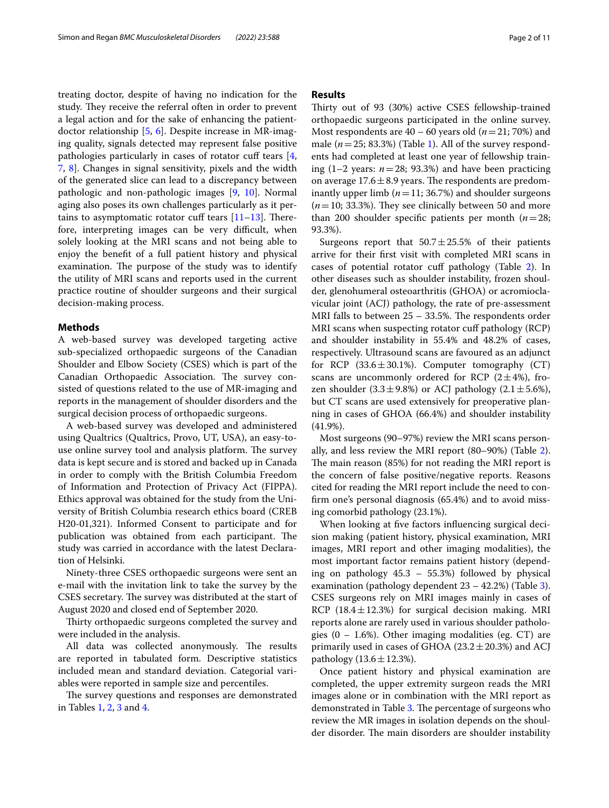treating doctor, despite of having no indication for the study. They receive the referral often in order to prevent a legal action and for the sake of enhancing the patientdoctor relationship [[5,](#page-9-4) [6](#page-9-5)]. Despite increase in MR-imaging quality, signals detected may represent false positive pathologies particularly in cases of rotator cuff tears [\[4](#page-9-3), [7,](#page-9-6) [8](#page-9-7)]. Changes in signal sensitivity, pixels and the width of the generated slice can lead to a discrepancy between pathologic and non-pathologic images [\[9](#page-9-8), [10\]](#page-9-9). Normal aging also poses its own challenges particularly as it pertains to asymptomatic rotator cuff tears  $[11-13]$  $[11-13]$ . Therefore, interpreting images can be very difficult, when solely looking at the MRI scans and not being able to enjoy the beneft of a full patient history and physical examination. The purpose of the study was to identify the utility of MRI scans and reports used in the current practice routine of shoulder surgeons and their surgical decision-making process.

# **Methods**

A web-based survey was developed targeting active sub-specialized orthopaedic surgeons of the Canadian Shoulder and Elbow Society (CSES) which is part of the Canadian Orthopaedic Association. The survey consisted of questions related to the use of MR-imaging and reports in the management of shoulder disorders and the surgical decision process of orthopaedic surgeons.

A web-based survey was developed and administered using Qualtrics (Qualtrics, Provo, UT, USA), an easy-touse online survey tool and analysis platform. The survey data is kept secure and is stored and backed up in Canada in order to comply with the British Columbia Freedom of Information and Protection of Privacy Act (FIPPA). Ethics approval was obtained for the study from the University of British Columbia research ethics board (CREB H20-01,321). Informed Consent to participate and for publication was obtained from each participant. The study was carried in accordance with the latest Declaration of Helsinki.

Ninety-three CSES orthopaedic surgeons were sent an e-mail with the invitation link to take the survey by the CSES secretary. The survey was distributed at the start of August 2020 and closed end of September 2020.

Thirty orthopaedic surgeons completed the survey and were included in the analysis.

All data was collected anonymously. The results are reported in tabulated form. Descriptive statistics included mean and standard deviation. Categorial variables were reported in sample size and percentiles.

The survey questions and responses are demonstrated in Tables [1](#page-2-0), [2,](#page-3-0) [3](#page-5-0) and [4](#page-7-0).

# **Results**

Thirty out of 93 (30%) active CSES fellowship-trained orthopaedic surgeons participated in the online survey. Most respondents are  $40 - 60$  years old ( $n = 21$ ; 70%) and male  $(n=25; 83.3%)$  (Table [1](#page-2-0)). All of the survey respondents had completed at least one year of fellowship training  $(1-2 \text{ years: } n=28; 93.3\%)$  and have been practicing on average  $17.6 \pm 8.9$  years. The respondents are predominantly upper limb  $(n=11; 36.7%)$  and shoulder surgeons  $(n=10; 33.3%)$ . They see clinically between 50 and more than 200 shoulder specifc patients per month (*n*=28; 93.3%).

Surgeons report that  $50.7 \pm 25.5$ % of their patients arrive for their frst visit with completed MRI scans in cases of potential rotator cuff pathology (Table [2\)](#page-3-0). In other diseases such as shoulder instability, frozen shoulder, glenohumeral osteoarthritis (GHOA) or acromioclavicular joint (ACJ) pathology, the rate of pre-assessment MRI falls to between  $25 - 33.5$ %. The respondents order MRI scans when suspecting rotator cuf pathology (RCP) and shoulder instability in 55.4% and 48.2% of cases, respectively. Ultrasound scans are favoured as an adjunct for RCP  $(33.6 \pm 30.1\%)$ . Computer tomography  $(CT)$ scans are uncommonly ordered for RCP  $(2\pm 4\%)$ , frozen shoulder  $(3.3 \pm 9.8\%)$  or ACJ pathology  $(2.1 \pm 5.6\%).$ but CT scans are used extensively for preoperative planning in cases of GHOA (66.4%) and shoulder instability (41.9%).

Most surgeons (90–97%) review the MRI scans personally, and less review the MRI report (80–90%) (Table [2](#page-3-0)). The main reason  $(85%)$  for not reading the MRI report is the concern of false positive/negative reports. Reasons cited for reading the MRI report include the need to confrm one's personal diagnosis (65.4%) and to avoid missing comorbid pathology (23.1%).

When looking at fve factors infuencing surgical decision making (patient history, physical examination, MRI images, MRI report and other imaging modalities), the most important factor remains patient history (depending on pathology 45.3 – 55.3%) followed by physical examination (pathology dependent  $23 - 42.2\%$ ) (Table [3](#page-5-0)). CSES surgeons rely on MRI images mainly in cases of  $RCP$  (18.4 $\pm$ 12.3%) for surgical decision making. MRI reports alone are rarely used in various shoulder pathologies  $(0 - 1.6\%)$ . Other imaging modalities (eg. CT) are primarily used in cases of GHOA ( $23.2 \pm 20.3$ %) and ACJ pathology  $(13.6 \pm 12.3\%)$ .

Once patient history and physical examination are completed, the upper extremity surgeon reads the MRI images alone or in combination with the MRI report as demonstrated in Table [3](#page-5-0). The percentage of surgeons who review the MR images in isolation depends on the shoulder disorder. The main disorders are shoulder instability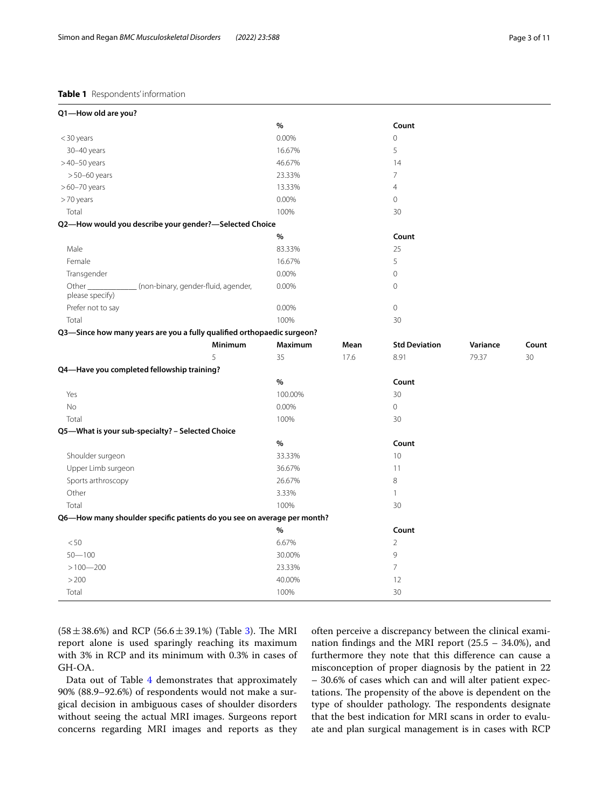# <span id="page-2-0"></span>**Table 1** Respondents' information

| Q1-How old are you?                                                     |         |         |      |                      |          |       |
|-------------------------------------------------------------------------|---------|---------|------|----------------------|----------|-------|
|                                                                         |         | $\%$    |      | Count                |          |       |
| <30 years                                                               |         | 0.00%   |      | $\mathbf 0$          |          |       |
| 30-40 years                                                             |         | 16.67%  |      | 5                    |          |       |
| $>40-50$ years                                                          |         | 46.67%  |      | 14                   |          |       |
| $>50-60$ years                                                          |         | 23.33%  |      | 7                    |          |       |
| $>60-70$ years                                                          |         | 13.33%  |      | $\overline{4}$       |          |       |
| >70 years                                                               |         | 0.00%   |      | $\circ$              |          |       |
| Total                                                                   |         | 100%    |      | 30                   |          |       |
| Q2-How would you describe your gender?-Selected Choice                  |         |         |      |                      |          |       |
|                                                                         |         | $\%$    |      | Count                |          |       |
| Male                                                                    |         | 83.33%  |      | 25                   |          |       |
| Female                                                                  |         | 16.67%  |      | 5                    |          |       |
| Transgender                                                             |         | 0.00%   |      | $\mathbf 0$          |          |       |
| Other $\_$<br>_ (non-binary, gender-fluid, agender,<br>please specify)  |         | 0.00%   |      | $\circ$              |          |       |
| Prefer not to say                                                       |         | 0.00%   |      | $\circledcirc$       |          |       |
| Total                                                                   |         | 100%    |      | 30                   |          |       |
| Q3-Since how many years are you a fully qualified orthopaedic surgeon?  |         |         |      |                      |          |       |
|                                                                         | Minimum | Maximum | Mean | <b>Std Deviation</b> | Variance | Count |
|                                                                         | 5       | 35      | 17.6 | 8.91                 | 79.37    | 30    |
| Q4-Have you completed fellowship training?                              |         |         |      |                      |          |       |
|                                                                         |         | $\%$    |      | Count                |          |       |
| Yes                                                                     |         | 100.00% |      | 30                   |          |       |
| No                                                                      |         | 0.00%   |      | $\circledcirc$       |          |       |
| Total                                                                   |         | 100%    |      | 30                   |          |       |
| Q5-What is your sub-specialty? - Selected Choice                        |         |         |      |                      |          |       |
|                                                                         |         | $\%$    |      | Count                |          |       |
| Shoulder surgeon                                                        |         | 33.33%  |      | 10                   |          |       |
| Upper Limb surgeon                                                      |         | 36.67%  |      | 11                   |          |       |
| Sports arthroscopy                                                      |         | 26.67%  |      | 8                    |          |       |
| Other                                                                   |         | 3.33%   |      | $\mathbf{1}$         |          |       |
| Total                                                                   |         |         |      |                      |          |       |
|                                                                         |         | 100%    |      | 30                   |          |       |
| Q6-How many shoulder specific patients do you see on average per month? |         |         |      |                      |          |       |
|                                                                         |         | %       |      | Count                |          |       |
| < 50                                                                    |         | 6.67%   |      | $\overline{2}$       |          |       |
| $50 - 100$                                                              |         | 30.00%  |      | 9                    |          |       |
| $>100 - 200$                                                            |         | 23.33%  |      | $\overline{7}$       |          |       |
| > 200                                                                   |         | 40.00%  |      | 12                   |          |       |

 $(58 \pm 38.6\%)$  and RCP  $(56.6 \pm 39.1\%)$  (Table [3\)](#page-5-0). The MRI report alone is used sparingly reaching its maximum with 3% in RCP and its minimum with 0.3% in cases of GH-OA.

Data out of Table [4](#page-7-0) demonstrates that approximately 90% (88.9–92.6%) of respondents would not make a surgical decision in ambiguous cases of shoulder disorders without seeing the actual MRI images. Surgeons report concerns regarding MRI images and reports as they

often perceive a discrepancy between the clinical examination fndings and the MRI report (25.5 – 34.0%), and furthermore they note that this diference can cause a misconception of proper diagnosis by the patient in 22 – 30.6% of cases which can and will alter patient expectations. The propensity of the above is dependent on the type of shoulder pathology. The respondents designate that the best indication for MRI scans in order to evaluate and plan surgical management is in cases with RCP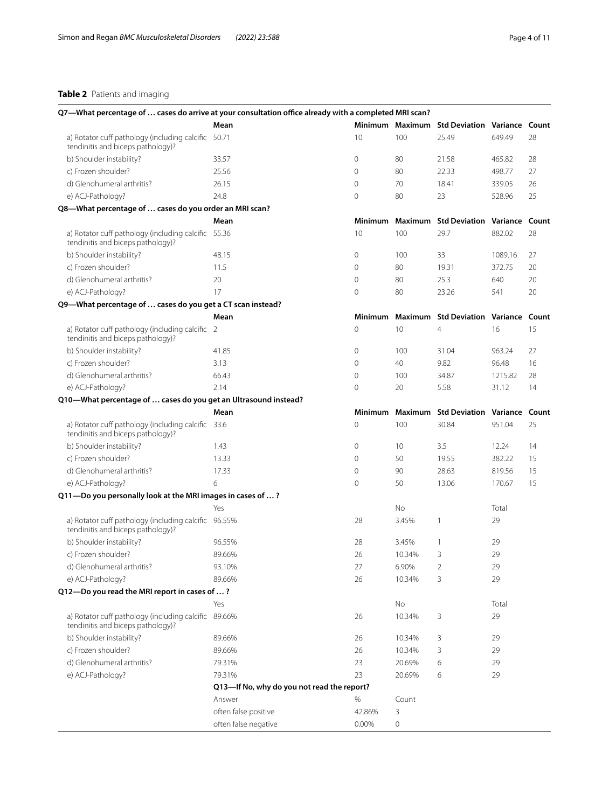# <span id="page-3-0"></span>**Table 2** Patients and imaging

| Q7-What percentage of  cases do arrive at your consultation office already with a completed MRI scan? |                                            |                     |         |                                              |                       |    |
|-------------------------------------------------------------------------------------------------------|--------------------------------------------|---------------------|---------|----------------------------------------------|-----------------------|----|
|                                                                                                       | Mean                                       |                     |         | Minimum Maximum Std Deviation Variance Count |                       |    |
| a) Rotator cuff pathology (including calcific 50.71<br>tendinitis and biceps pathology)?              |                                            | 10                  | 100     | 25.49                                        | 649.49                | 28 |
| b) Shoulder instability?                                                                              | 33.57                                      | 0                   | 80      | 21.58                                        | 465.82                | 28 |
| c) Frozen shoulder?                                                                                   | 25.56                                      | $\mathbf{0}$        | 80      | 22.33                                        | 498.77                | 27 |
| d) Glenohumeral arthritis?                                                                            | 26.15                                      | $\mathbf{0}$        | 70      | 18.41                                        | 339.05                | 26 |
| e) ACJ-Pathology?                                                                                     | 24.8                                       | $\mathbf 0$         | 80      | 23                                           | 528.96                | 25 |
| Q8-What percentage of  cases do you order an MRI scan?                                                |                                            |                     |         |                                              |                       |    |
|                                                                                                       | Mean                                       | <b>Minimum</b>      | Maximum | <b>Std Deviation Variance Count</b>          |                       |    |
| a) Rotator cuff pathology (including calcific 55.36<br>tendinitis and biceps pathology)?              |                                            | 10                  | 100     | 29.7                                         | 882.02                | 28 |
| b) Shoulder instability?                                                                              | 48.15                                      | $\mathbf 0$         | 100     | 33                                           | 1089.16               | 27 |
| c) Frozen shoulder?                                                                                   | 11.5                                       | $\mathbf 0$         | 80      | 19.31                                        | 372.75                | 20 |
| d) Glenohumeral arthritis?                                                                            | 20                                         | $\mathbf 0$         | 80      | 25.3                                         | 640                   | 20 |
| e) ACJ-Pathology?                                                                                     | 17                                         | $\mathbf 0$         | 80      | 23.26                                        | 541                   | 20 |
| Q9-What percentage of  cases do you get a CT scan instead?                                            |                                            |                     |         |                                              |                       |    |
|                                                                                                       | Mean                                       | <b>Minimum</b>      | Maximum | <b>Std Deviation</b>                         | <b>Variance Count</b> |    |
|                                                                                                       |                                            |                     |         |                                              |                       |    |
| a) Rotator cuff pathology (including calcific 2<br>tendinitis and biceps pathology)?                  |                                            | $\mathbf 0$         | 10      | $\overline{4}$                               | 16                    | 15 |
| b) Shoulder instability?                                                                              | 41.85                                      | $\mathbf{0}$        | 100     | 31.04                                        | 963.24                | 27 |
| c) Frozen shoulder?                                                                                   | 3.13                                       | $\mathbf{0}$        | 40      | 9.82                                         | 96.48                 | 16 |
| d) Glenohumeral arthritis?                                                                            | 66.43                                      | $\circ$             | 100     | 34.87                                        | 1215.82               | 28 |
| e) ACJ-Pathology?                                                                                     | 2.14                                       | $\mathbf{0}$        | 20      | 5.58                                         | 31.12                 | 14 |
| Q10-What percentage of  cases do you get an Ultrasound instead?                                       |                                            |                     |         |                                              |                       |    |
|                                                                                                       | Mean                                       | <b>Minimum</b>      | Maximum | <b>Std Deviation</b>                         | <b>Variance Count</b> |    |
| a) Rotator cuff pathology (including calcific 33.6<br>tendinitis and biceps pathology)?               |                                            | $\mathsf{O}\xspace$ | 100     | 30.84                                        | 951.04                | 25 |
| b) Shoulder instability?                                                                              | 1.43                                       | $\circ$             | 10      | 3.5                                          | 12.24                 | 14 |
| c) Frozen shoulder?                                                                                   | 13.33                                      | $\circ$             | 50      | 19.55                                        | 382.22                | 15 |
| d) Glenohumeral arthritis?                                                                            | 17.33                                      | $\mathsf{O}\xspace$ | 90      | 28.63                                        | 819.56                | 15 |
| e) ACJ-Pathology?                                                                                     | 6                                          | $\circ$             | 50      | 13.06                                        | 170.67                | 15 |
| Q11-Do you personally look at the MRI images in cases of ?                                            |                                            |                     |         |                                              |                       |    |
|                                                                                                       | Yes                                        |                     | No      |                                              | Total                 |    |
| a) Rotator cuff pathology (including calcific 96.55%<br>tendinitis and biceps pathology)?             |                                            | 28                  | 3.45%   | 1                                            | 29                    |    |
| b) Shoulder instability?                                                                              | 96.55%                                     | 28                  | 3.45%   | 1                                            | 29                    |    |
| c) Frozen shoulder?                                                                                   | 89.66%                                     | 26                  | 10.34%  | 3                                            | 29                    |    |
| d) Glenohumeral arthritis?                                                                            | 93.10%                                     | 27                  | 6.90%   | 2                                            | 29                    |    |
| e) ACJ-Pathology?                                                                                     | 89.66%                                     | 26                  | 10.34%  | 3                                            | 29                    |    |
| Q12-Do you read the MRI report in cases of ?                                                          |                                            |                     |         |                                              |                       |    |
|                                                                                                       | Yes                                        |                     | No      |                                              | Total                 |    |
| a) Rotator cuff pathology (including calcific 89.66%<br>tendinitis and biceps pathology)?             |                                            | 26                  | 10.34%  | 3                                            | 29                    |    |
| b) Shoulder instability?                                                                              | 89.66%                                     | 26                  | 10.34%  | 3                                            | 29                    |    |
| c) Frozen shoulder?                                                                                   | 89.66%                                     | 26                  | 10.34%  | 3                                            | 29                    |    |
| d) Glenohumeral arthritis?                                                                            | 79.31%                                     | 23                  | 20.69%  | 6                                            | 29                    |    |
|                                                                                                       | 79.31%                                     | 23                  |         |                                              | 29                    |    |
| e) ACJ-Pathology?                                                                                     | Q13-If No, why do you not read the report? |                     | 20.69%  | 6                                            |                       |    |
|                                                                                                       |                                            |                     |         |                                              |                       |    |
|                                                                                                       | Answer                                     | %                   | Count   |                                              |                       |    |
|                                                                                                       | often false positive                       | 42.86%              | 3       |                                              |                       |    |
|                                                                                                       | often false negative                       | 0.00%               | 0       |                                              |                       |    |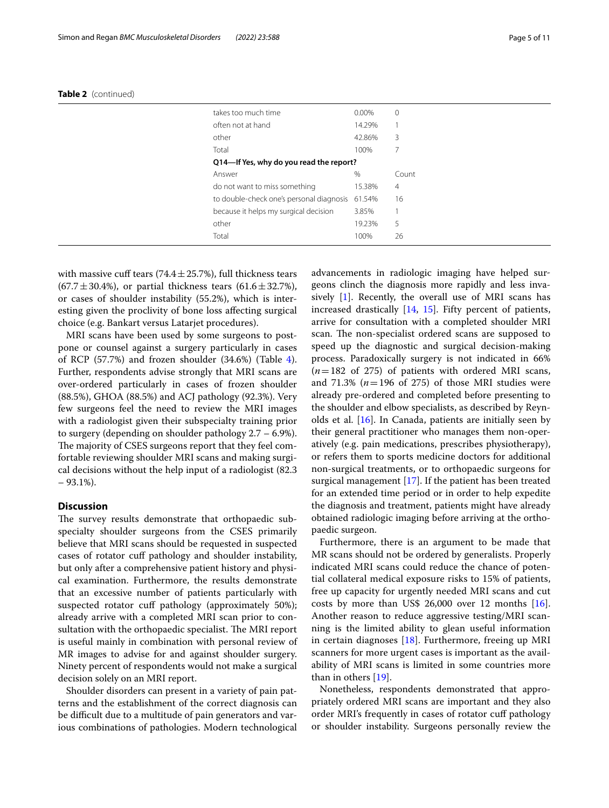| takes too much time                             | 0.00%  | $\mathbf{0}$   |
|-------------------------------------------------|--------|----------------|
| often not at hand                               | 14.29% |                |
| other                                           | 42.86% | 3              |
| Total                                           | 100%   | 7              |
| Q14-If Yes, why do you read the report?         |        |                |
| Answer                                          | %      | Count          |
| do not want to miss something                   | 15.38% | $\overline{4}$ |
| to double-check one's personal diagnosis 61.54% |        | 16             |
| because it helps my surgical decision           | 3.85%  |                |
| other                                           | 19.23% | 5              |
| Total                                           | 100%   | 26             |
|                                                 |        |                |

|  | Table 2 (continued) |  |
|--|---------------------|--|
|--|---------------------|--|

with massive cuff tears  $(74.4 \pm 25.7%)$ , full thickness tears  $(67.7 \pm 30.4\%)$ , or partial thickness tears  $(61.6 \pm 32.7\%)$ , or cases of shoulder instability (55.2%), which is interesting given the proclivity of bone loss afecting surgical choice (e.g. Bankart versus Latarjet procedures).

MRI scans have been used by some surgeons to postpone or counsel against a surgery particularly in cases of RCP  $(57.7%)$  and frozen shoulder  $(34.6%)$  $(34.6%)$  $(34.6%)$  (Table 4). Further, respondents advise strongly that MRI scans are over-ordered particularly in cases of frozen shoulder (88.5%), GHOA (88.5%) and ACJ pathology (92.3%). Very few surgeons feel the need to review the MRI images with a radiologist given their subspecialty training prior to surgery (depending on shoulder pathology 2.7 – 6.9%). The majority of CSES surgeons report that they feel comfortable reviewing shoulder MRI scans and making surgical decisions without the help input of a radiologist (82.3  $-93.1\%$ ).

# **Discussion**

The survey results demonstrate that orthopaedic subspecialty shoulder surgeons from the CSES primarily believe that MRI scans should be requested in suspected cases of rotator cuf pathology and shoulder instability, but only after a comprehensive patient history and physical examination. Furthermore, the results demonstrate that an excessive number of patients particularly with suspected rotator cuff pathology (approximately 50%); already arrive with a completed MRI scan prior to consultation with the orthopaedic specialist. The MRI report is useful mainly in combination with personal review of MR images to advise for and against shoulder surgery. Ninety percent of respondents would not make a surgical decision solely on an MRI report.

Shoulder disorders can present in a variety of pain patterns and the establishment of the correct diagnosis can be difficult due to a multitude of pain generators and various combinations of pathologies. Modern technological advancements in radiologic imaging have helped surgeons clinch the diagnosis more rapidly and less invasively [\[1](#page-9-0)]. Recently, the overall use of MRI scans has increased drastically [\[14](#page-9-12), [15\]](#page-9-13). Fifty percent of patients, arrive for consultation with a completed shoulder MRI scan. The non-specialist ordered scans are supposed to speed up the diagnostic and surgical decision-making process. Paradoxically surgery is not indicated in 66% (*n*=182 of 275) of patients with ordered MRI scans, and  $71.3\%$  ( $n=196$  of 275) of those MRI studies were already pre-ordered and completed before presenting to the shoulder and elbow specialists, as described by Reynolds et al. [\[16](#page-9-14)]. In Canada, patients are initially seen by their general practitioner who manages them non-operatively (e.g. pain medications, prescribes physiotherapy), or refers them to sports medicine doctors for additional non-surgical treatments, or to orthopaedic surgeons for surgical management [[17\]](#page-9-15). If the patient has been treated for an extended time period or in order to help expedite the diagnosis and treatment, patients might have already obtained radiologic imaging before arriving at the orthopaedic surgeon.

Furthermore, there is an argument to be made that MR scans should not be ordered by generalists. Properly indicated MRI scans could reduce the chance of potential collateral medical exposure risks to 15% of patients, free up capacity for urgently needed MRI scans and cut costs by more than US\$ 26,000 over 12 months  $[16]$  $[16]$ . Another reason to reduce aggressive testing/MRI scanning is the limited ability to glean useful information in certain diagnoses  $[18]$  $[18]$ . Furthermore, freeing up MRI scanners for more urgent cases is important as the availability of MRI scans is limited in some countries more than in others [[19\]](#page-10-0).

Nonetheless, respondents demonstrated that appropriately ordered MRI scans are important and they also order MRI's frequently in cases of rotator cuf pathology or shoulder instability. Surgeons personally review the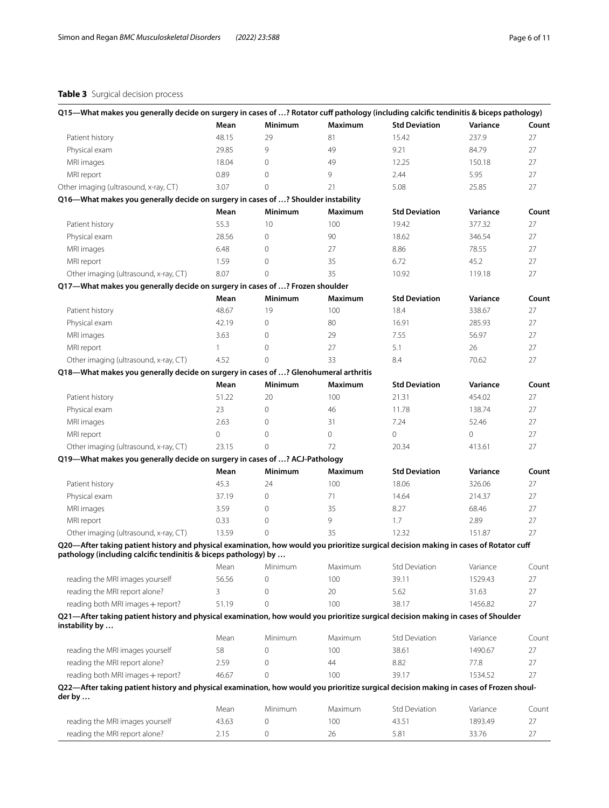# <span id="page-5-0"></span>**Table 3** Surgical decision process

| Q15-What makes you generally decide on surgery in cases of ? Rotator cuff pathology (including calcific tendinitis & biceps pathology)                                                                   |              |                   |                |                      |                    |       |
|----------------------------------------------------------------------------------------------------------------------------------------------------------------------------------------------------------|--------------|-------------------|----------------|----------------------|--------------------|-------|
|                                                                                                                                                                                                          | Mean         | <b>Minimum</b>    | <b>Maximum</b> | <b>Std Deviation</b> | Variance           | Count |
| Patient history                                                                                                                                                                                          | 48.15        | 29                | 81             | 15.42                | 237.9              | 27    |
| Physical exam                                                                                                                                                                                            | 29.85        | 9                 | 49             | 9.21                 | 84.79              | 27    |
| MRI images                                                                                                                                                                                               | 18.04        | $\mathbf 0$       | 49             | 12.25                | 150.18             | 27    |
| MRI report                                                                                                                                                                                               | 0.89         | $\mathbf 0$       | 9              | 2.44                 | 5.95               | 27    |
| Other imaging (ultrasound, x-ray, CT)                                                                                                                                                                    | 3.07         | $\Omega$          | 21             | 5.08                 | 25.85              | 27    |
| Q16-What makes you generally decide on surgery in cases of ? Shoulder instability                                                                                                                        |              |                   |                |                      |                    |       |
|                                                                                                                                                                                                          | Mean         | Minimum           | Maximum        | <b>Std Deviation</b> | Variance           | Count |
| Patient history                                                                                                                                                                                          | 55.3         | 10                | 100            | 19.42                | 377.32             | 27    |
| Physical exam                                                                                                                                                                                            | 28.56        | $\mathbf 0$       | 90             | 18.62                | 346.54             | 27    |
| MRI images                                                                                                                                                                                               | 6.48         | $\mathbf 0$       | 27             | 8.86                 | 78.55              | 27    |
| MRI report                                                                                                                                                                                               | 1.59         | $\mathbf 0$       | 35             | 6.72                 | 45.2               | 27    |
| Other imaging (ultrasound, x-ray, CT)                                                                                                                                                                    | 8.07         | $\Omega$          | 35             | 10.92                | 119.18             | 27    |
| Q17-What makes you generally decide on surgery in cases of ? Frozen shoulder                                                                                                                             |              |                   |                |                      |                    |       |
|                                                                                                                                                                                                          | Mean         | Minimum           | Maximum        | <b>Std Deviation</b> | Variance           | Count |
| Patient history                                                                                                                                                                                          | 48.67        | 19                | 100            | 18.4                 | 338.67             | 27    |
| Physical exam                                                                                                                                                                                            | 42.19        | $\mathbf 0$       | 80             | 16.91                | 285.93             | 27    |
| MRI images                                                                                                                                                                                               | 3.63         | $\mathbf 0$       | 29             | 7.55                 | 56.97              | 27    |
| MRI report                                                                                                                                                                                               | $\mathbf{1}$ | $\mathbf 0$       | 27             | 5.1                  | 26                 | 27    |
| Other imaging (ultrasound, x-ray, CT)                                                                                                                                                                    | 4.52         | $\Omega$          | 33             | 8.4                  | 70.62              | 27    |
| Q18-What makes you generally decide on surgery in cases of ? Glenohumeral arthritis                                                                                                                      |              |                   |                |                      |                    |       |
|                                                                                                                                                                                                          | Mean         |                   |                | <b>Std Deviation</b> |                    |       |
|                                                                                                                                                                                                          |              | Minimum           | Maximum<br>100 | 21.31                | Variance<br>454.02 | Count |
| Patient history                                                                                                                                                                                          | 51.22        | 20<br>$\mathbf 0$ |                |                      |                    | 27    |
| Physical exam                                                                                                                                                                                            | 23           |                   | 46             | 11.78                | 138.74             | 27    |
| MRI images                                                                                                                                                                                               | 2.63         | $\mathbf{0}$      | 31             | 7.24                 | 52.46              | 27    |
| MRI report                                                                                                                                                                                               | 0            | $\mathbf 0$       | $\overline{0}$ | $\circ$              | $\circ$            | 27    |
| Other imaging (ultrasound, x-ray, CT)                                                                                                                                                                    | 23.15        | $\Omega$          | 72             | 20.34                | 413.61             | 27    |
| Q19-What makes you generally decide on surgery in cases of ? ACJ-Pathology                                                                                                                               |              |                   |                |                      |                    |       |
|                                                                                                                                                                                                          | Mean         | <b>Minimum</b>    | <b>Maximum</b> | <b>Std Deviation</b> | Variance           | Count |
| Patient history                                                                                                                                                                                          | 45.3         | 24                | 100            | 18.06                | 326.06             | 27    |
| Physical exam                                                                                                                                                                                            | 37.19        | $\overline{0}$    | 71             | 14.64                | 214.37             | 27    |
| MRI images                                                                                                                                                                                               | 3.59         | $\overline{0}$    | 35             | 8.27                 | 68.46              | 27    |
| MRI report                                                                                                                                                                                               | 0.33         | $\mathbf 0$       | 9              | 1.7                  | 2.89               | 27    |
| Other imaging (ultrasound, x-ray, CT)                                                                                                                                                                    | 13.59        | $\Omega$          | 35             | 12.32                | 151.87             | 27    |
| Q20-After taking patient history and physical examination, how would you prioritize surgical decision making in cases of Rotator cuff<br>pathology (including calcific tendinitis & biceps pathology) by |              |                   |                |                      |                    |       |
|                                                                                                                                                                                                          |              | Mean Minimum      | Maximum        | <b>Std Deviation</b> | Variance           | Count |
| reading the MRI images yourself                                                                                                                                                                          | 56.56        | 0                 | 100            | 39.11                | 1529.43            | 27    |
| reading the MRI report alone?                                                                                                                                                                            | 3            | 0                 | 20             | 5.62                 | 31.63              | 27    |
| reading both MRI images + report?                                                                                                                                                                        | 51.19        | $\Omega$          | 100            | 38.17                | 1456.82            | 27    |
| Q21-After taking patient history and physical examination, how would you prioritize surgical decision making in cases of Shoulder<br>instability by                                                      |              |                   |                |                      |                    |       |
|                                                                                                                                                                                                          | Mean         | Minimum           | Maximum        | <b>Std Deviation</b> | Variance           | Count |
| reading the MRI images yourself                                                                                                                                                                          | 58           | 0                 | 100            | 38.61                | 1490.67            | 27    |
| reading the MRI report alone?                                                                                                                                                                            | 2.59         | 0                 | 44             | 8.82                 | 77.8               | 27    |
| reading both MRI images + report?                                                                                                                                                                        | 46.67        | $\Omega$          | 100            | 39.17                | 1534.52            | 27    |
| Q22—After taking patient history and physical examination, how would you prioritize surgical decision making in cases of Frozen shoul-                                                                   |              |                   |                |                      |                    |       |
| der by                                                                                                                                                                                                   |              |                   |                |                      |                    |       |
|                                                                                                                                                                                                          | Mean         | Minimum           | Maximum        | <b>Std Deviation</b> | Variance           | Count |
| reading the MRI images yourself                                                                                                                                                                          | 43.63        | 0                 | 100            | 43.51                | 1893.49            | 27    |
| reading the MRI report alone?                                                                                                                                                                            | 2.15         | 0                 | 26             | 5.81                 | 33.76              | 27    |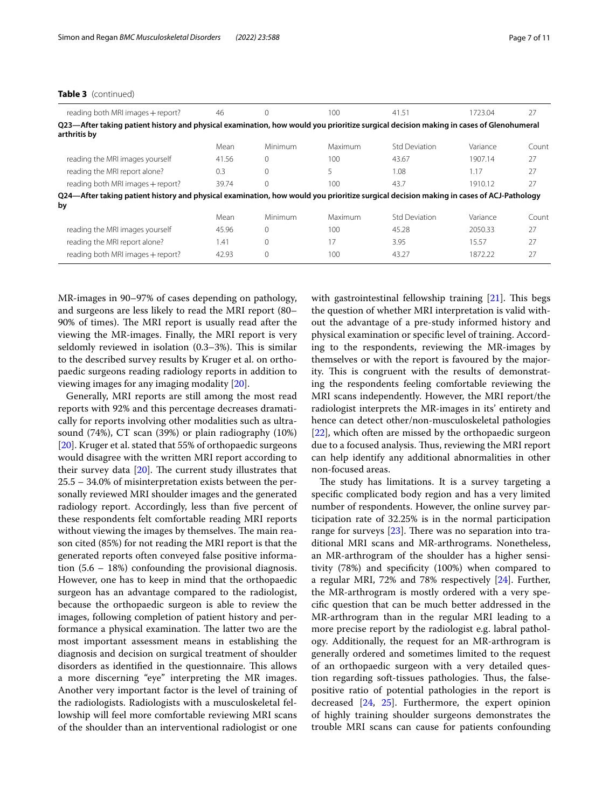# **Table 3** (continued)

| reading both MRI images + report?                                                                                                                     | 46    | $\Omega$     | 100     | 41.51                | 1723.04  | 27    |
|-------------------------------------------------------------------------------------------------------------------------------------------------------|-------|--------------|---------|----------------------|----------|-------|
| Q23—After taking patient history and physical examination, how would you prioritize surgical decision making in cases of Glenohumeral<br>arthritis by |       |              |         |                      |          |       |
|                                                                                                                                                       | Mean  | Minimum      | Maximum | <b>Std Deviation</b> | Variance | Count |
| reading the MRI images yourself                                                                                                                       | 41.56 | $\Omega$     | 100     | 43.67                | 1907.14  | 27    |
| reading the MRI report alone?                                                                                                                         | 0.3   | $\Omega$     | 5       | 1.08                 | 1.17     | 27    |
| reading both MRI images + report?                                                                                                                     | 39.74 | $\Omega$     | 100     | 43.7                 | 1910.12  | 27    |
| Q24—After taking patient history and physical examination, how would you prioritize surgical decision making in cases of ACJ-Pathology<br>by          |       |              |         |                      |          |       |
|                                                                                                                                                       | Mean  | Minimum      | Maximum | <b>Std Deviation</b> | Variance | Count |
| reading the MRI images yourself                                                                                                                       | 45.96 | $\Omega$     | 100     | 45.28                | 2050.33  | 27    |
| reading the MRI report alone?                                                                                                                         | 1.41  | $\mathbf{0}$ | 17      | 3.95                 | 15.57    | 27    |
| reading both MRI images + report?                                                                                                                     | 42.93 | $\Omega$     | 100     | 43.27                | 1872.22  | 27    |

MR-images in 90–97% of cases depending on pathology, and surgeons are less likely to read the MRI report (80– 90% of times). The MRI report is usually read after the viewing the MR-images. Finally, the MRI report is very seldomly reviewed in isolation  $(0.3-3%)$ . This is similar to the described survey results by Kruger et al. on orthopaedic surgeons reading radiology reports in addition to viewing images for any imaging modality [[20\]](#page-10-1).

Generally, MRI reports are still among the most read reports with 92% and this percentage decreases dramatically for reports involving other modalities such as ultrasound (74%), CT scan (39%) or plain radiography (10%) [[20\]](#page-10-1). Kruger et al. stated that 55% of orthopaedic surgeons would disagree with the written MRI report according to their survey data  $[20]$ . The current study illustrates that 25.5 – 34.0% of misinterpretation exists between the personally reviewed MRI shoulder images and the generated radiology report. Accordingly, less than five percent of these respondents felt comfortable reading MRI reports without viewing the images by themselves. The main reason cited (85%) for not reading the MRI report is that the generated reports often conveyed false positive information (5.6 – 18%) confounding the provisional diagnosis. However, one has to keep in mind that the orthopaedic surgeon has an advantage compared to the radiologist, because the orthopaedic surgeon is able to review the images, following completion of patient history and performance a physical examination. The latter two are the most important assessment means in establishing the diagnosis and decision on surgical treatment of shoulder disorders as identified in the questionnaire. This allows a more discerning "eye" interpreting the MR images. Another very important factor is the level of training of the radiologists. Radiologists with a musculoskeletal fellowship will feel more comfortable reviewing MRI scans of the shoulder than an interventional radiologist or one with gastrointestinal fellowship training  $[21]$  $[21]$ . This begs the question of whether MRI interpretation is valid without the advantage of a pre-study informed history and physical examination or specifc level of training. According to the respondents, reviewing the MR-images by themselves or with the report is favoured by the majority. This is congruent with the results of demonstrating the respondents feeling comfortable reviewing the MRI scans independently. However, the MRI report/the radiologist interprets the MR-images in its' entirety and hence can detect other/non-musculoskeletal pathologies [[22\]](#page-10-3), which often are missed by the orthopaedic surgeon due to a focused analysis. Thus, reviewing the MRI report can help identify any additional abnormalities in other non-focused areas.

The study has limitations. It is a survey targeting a specifc complicated body region and has a very limited number of respondents. However, the online survey participation rate of 32.25% is in the normal participation range for surveys  $[23]$ . There was no separation into traditional MRI scans and MR-arthrograms. Nonetheless, an MR-arthrogram of the shoulder has a higher sensitivity (78%) and specifcity (100%) when compared to a regular MRI, 72% and 78% respectively [[24\]](#page-10-5). Further, the MR-arthrogram is mostly ordered with a very specifc question that can be much better addressed in the MR-arthrogram than in the regular MRI leading to a more precise report by the radiologist e.g. labral pathology. Additionally, the request for an MR-arthrogram is generally ordered and sometimes limited to the request of an orthopaedic surgeon with a very detailed question regarding soft-tissues pathologies. Thus, the falsepositive ratio of potential pathologies in the report is decreased [[24,](#page-10-5) [25](#page-10-6)]. Furthermore, the expert opinion of highly training shoulder surgeons demonstrates the trouble MRI scans can cause for patients confounding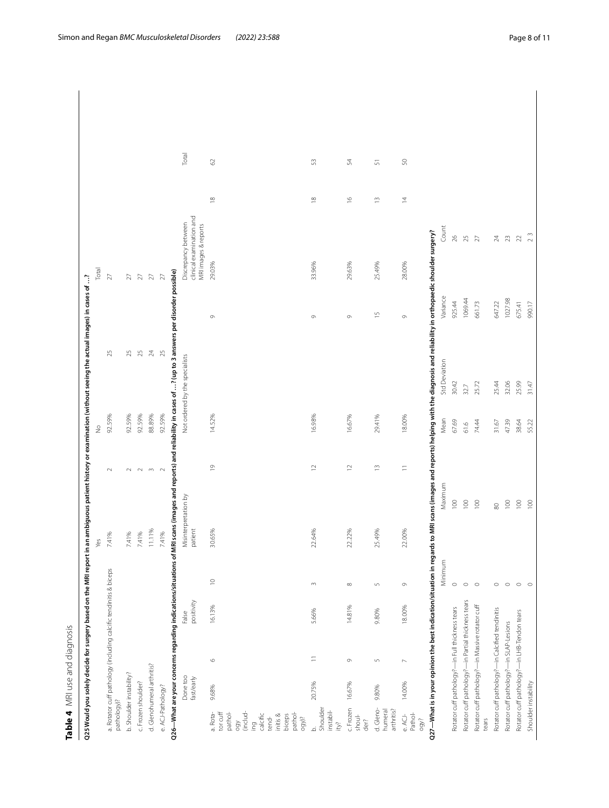<span id="page-7-0"></span>

| i                                   |  |
|-------------------------------------|--|
|                                     |  |
| 2<br>くらい<br>$\overline{\mathbf{3}}$ |  |
| ،<br>٥                              |  |
|                                     |  |
| ď                                   |  |
|                                     |  |
|                                     |  |
|                                     |  |

|                                                                                                                            |                            |                                                    | Q25 Would you solely decide for surgery based on the MRI report in |                  |                                 |                  |               |        | an ambiguous patient history or examination (without seeing the actual images) in cases of ?                                                                                       |                |                                                                         |                |        |  |
|----------------------------------------------------------------------------------------------------------------------------|----------------------------|----------------------------------------------------|--------------------------------------------------------------------|------------------|---------------------------------|------------------|---------------|--------|------------------------------------------------------------------------------------------------------------------------------------------------------------------------------------|----------------|-------------------------------------------------------------------------|----------------|--------|--|
|                                                                                                                            |                            |                                                    |                                                                    |                  | Yes                             |                  | $\frac{9}{2}$ |        |                                                                                                                                                                                    |                | Total                                                                   |                |        |  |
| pathology)?                                                                                                                |                            |                                                    | a. Rotator cuff pathology (including calcific tendinitis & biceps  |                  | 7.41%                           | $\sim$           |               | 92.59% | 25                                                                                                                                                                                 |                | 27                                                                      |                |        |  |
|                                                                                                                            | b. Shoulder instability?   |                                                    |                                                                    |                  | 7.41%                           | $\sim$           |               | 92.59% | 25                                                                                                                                                                                 |                | 27                                                                      |                |        |  |
| c. Frozen shoulder?                                                                                                        |                            |                                                    |                                                                    |                  | 7.41%                           | $\sim$           |               | 92.59% | $25$                                                                                                                                                                               |                | $\geq$                                                                  |                |        |  |
|                                                                                                                            | d. Glenohumeral arthritis? |                                                    |                                                                    |                  | 11.11%                          | $\sim$           |               | 88.89% | $\gtrsim$                                                                                                                                                                          |                | $\geq$                                                                  |                |        |  |
| e.ACJ-Pathology?                                                                                                           |                            |                                                    |                                                                    |                  | 7.41%                           | $\sim$           |               | 92.59% | $25$                                                                                                                                                                               |                | $\geq$                                                                  |                |        |  |
|                                                                                                                            |                            |                                                    |                                                                    |                  |                                 |                  |               |        | Q26—What are your concerns regarding indications/situations of MRI scans (images and reports) and reliability in cases of …? (up to 3 answers per disorder possible)               |                |                                                                         |                |        |  |
|                                                                                                                            | Done too<br>fast/early     |                                                    | positivity<br>False                                                |                  | Misinterpretation by<br>patient |                  |               |        | Not ordered by the specialists                                                                                                                                                     |                | clinical examination and<br>Discrepancy between<br>MRI images & reports |                | Total  |  |
| (includ-<br>a. Rota-<br>tor cuff<br>pathol-<br>calcific<br>biceps<br>initis &<br>tend-<br>QÓO<br>$\overline{\mathsf{m}}$ g | 9.68%                      | $\circ$                                            | 16.13%                                                             | $\approx$        | 30.65%                          | $\overline{0}$   |               | 14.52% |                                                                                                                                                                                    | Ò              | 29.03%                                                                  | $\frac{8}{2}$  | 2      |  |
| pathol-<br>ogy)?                                                                                                           |                            |                                                    |                                                                    |                  |                                 |                  |               |        |                                                                                                                                                                                    |                |                                                                         |                |        |  |
| Shoulder<br>instabil-<br>ity?<br>م                                                                                         | 20.75%                     | Ξ                                                  | 5.66%                                                              | $\sim$           | 22.64%                          | $\approx$        |               | 16.98% |                                                                                                                                                                                    | Ò              | 33.96%                                                                  | $\frac{8}{2}$  | S      |  |
| c. Frozen<br>shoul-<br>der?                                                                                                | 16.67%                     | $\circlearrowright$                                | 14.81%                                                             | $\infty$         | 22.22%                          | $\simeq$         |               | 16.67% |                                                                                                                                                                                    | $\circ$        | 29.63%                                                                  | $\cong$        | 24     |  |
| d. Gleno-<br>arthritis?<br>humeral                                                                                         | 9.80%                      | $\mathsf{L}\cap$                                   | 9.80%                                                              | $\mathsf{L}\cap$ | 25.49%                          | $\frac{1}{2}$    |               | 29.41% |                                                                                                                                                                                    | $\overline{1}$ | 25.49%                                                                  | $\frac{1}{2}$  | 듮      |  |
| Pathol-<br>e. ACJ-<br>ogy?                                                                                                 | 14.00%                     | $\triangleright$                                   | 18.00%                                                             | $\circ$          | 22.00%                          | $\equiv$         |               | 18.00% |                                                                                                                                                                                    | $\circ$        | 28.00%                                                                  | $\overline{4}$ | $50\,$ |  |
|                                                                                                                            |                            |                                                    |                                                                    |                  |                                 |                  |               |        | Q27—What is in your opinion the best indication/situation in regards to MRI scans (images and reports) helping with the diagnosis and reliability in orthopaedic shoulder surgery? |                |                                                                         |                |        |  |
|                                                                                                                            |                            |                                                    |                                                                    | Minimum          |                                 | Maximum          |               | Mean   | Std Deviation                                                                                                                                                                      | Variance       | Count                                                                   |                |        |  |
|                                                                                                                            |                            | Rotator cuff pathology?-in Full thickness tears    |                                                                    | $\circ$          |                                 | 100              |               | 67.69  | 30.42                                                                                                                                                                              | 925.44         | 26                                                                      |                |        |  |
|                                                                                                                            |                            | Rotator cuff pathology?-in Partial thickness tears |                                                                    | $\circ$          |                                 | 100              |               | 61.6   | 32.7                                                                                                                                                                               | 1069.44        | $25$                                                                    |                |        |  |
| tears                                                                                                                      |                            | Rotator cuff pathology?-in Massive rotator cuff    |                                                                    | $\circ$          |                                 | 100              |               | 74.44  | 25.72                                                                                                                                                                              | 661.73         | $\overline{27}$                                                         |                |        |  |
|                                                                                                                            |                            | Rotator cuff pathology?-in Calcified tendinitis    |                                                                    | $\circ$          |                                 | $\otimes$        |               | 31.67  | 25.44                                                                                                                                                                              | 647.22         | $\approx$                                                               |                |        |  |
|                                                                                                                            |                            | Rotator cuff pathology?-in SLAP-Lesions            |                                                                    | $\circ$          |                                 | $\overline{100}$ |               | 47.39  | 32.06                                                                                                                                                                              | 1027.98        | $23\,$                                                                  |                |        |  |
|                                                                                                                            |                            | Rotator cuff pathology?-in LHB-Tendon tears        |                                                                    | $\circ$          |                                 | 100              |               | 38.64  | 25.99                                                                                                                                                                              | 675.41         | $\gtrsim$                                                               |                |        |  |
| Shoulder instability                                                                                                       |                            |                                                    |                                                                    | $\circ$          |                                 | 100              |               | 55.22  | 31.47                                                                                                                                                                              | 990.17         | $\frac{3}{2}$                                                           |                |        |  |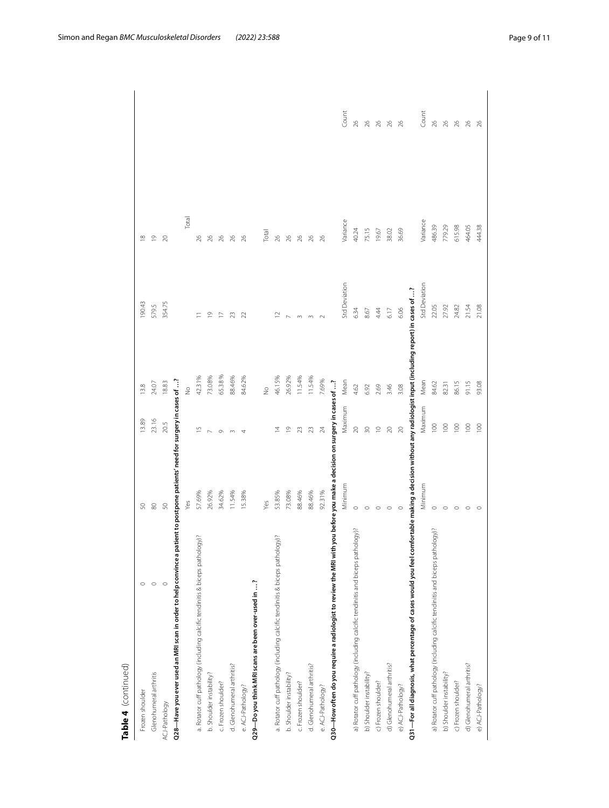| $\circ$<br>$\circ$                                                                                                                                          |
|-------------------------------------------------------------------------------------------------------------------------------------------------------------|
| S                                                                                                                                                           |
| Q28—Have you ever used an MRI scan in order to help convince a patient to postpone patients' need for surgery in cases of ?                                 |
| Yes                                                                                                                                                         |
| 57.69%                                                                                                                                                      |
| 26.92%                                                                                                                                                      |
| 34.62%                                                                                                                                                      |
| 11.54%                                                                                                                                                      |
| 15.38%                                                                                                                                                      |
|                                                                                                                                                             |
| Yes                                                                                                                                                         |
| 53.85%                                                                                                                                                      |
| 73.08%                                                                                                                                                      |
| 88.46%                                                                                                                                                      |
| 88.46%                                                                                                                                                      |
| 92.31%                                                                                                                                                      |
| Q30—How often do you require a radiologist to review the MRI with you before you make a decision on surgery in cases of …?                                  |
| Minimum                                                                                                                                                     |
| $\circ$                                                                                                                                                     |
| $\circ$                                                                                                                                                     |
| $\circ$                                                                                                                                                     |
| $\circ$                                                                                                                                                     |
|                                                                                                                                                             |
| Q31—For all diagnosis, what percentage of cases would you feel comfortable making a decision without any radiologist input (including report) in cases of ? |
| Minimum                                                                                                                                                     |
| $\circ$                                                                                                                                                     |
| $\circ$                                                                                                                                                     |
| $\circ$                                                                                                                                                     |
| c                                                                                                                                                           |
|                                                                                                                                                             |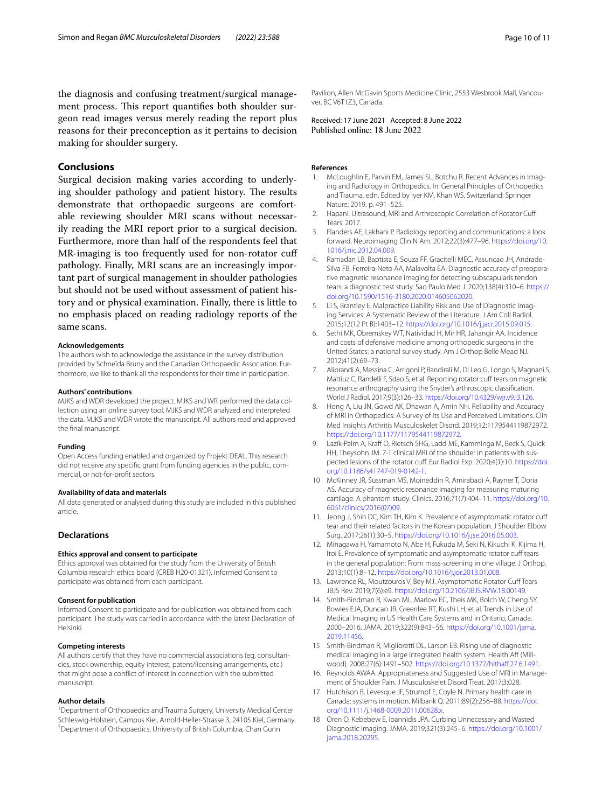the diagnosis and confusing treatment/surgical management process. This report quantifies both shoulder surgeon read images versus merely reading the report plus reasons for their preconception as it pertains to decision making for shoulder surgery.

# **Conclusions**

Surgical decision making varies according to underlying shoulder pathology and patient history. The results demonstrate that orthopaedic surgeons are comfortable reviewing shoulder MRI scans without necessarily reading the MRI report prior to a surgical decision. Furthermore, more than half of the respondents feel that MR-imaging is too frequently used for non-rotator cuf pathology. Finally, MRI scans are an increasingly important part of surgical management in shoulder pathologies but should not be used without assessment of patient history and or physical examination. Finally, there is little to no emphasis placed on reading radiology reports of the same scans.

## **Acknowledgements**

The authors wish to acknowledge the assistance in the survey distribution provided by Schneïda Bruny and the Canadian Orthopaedic Association. Furthermore, we like to thank all the respondents for their time in participation.

#### **Authors' contributions**

MJKS and WDR developed the project. MJKS and WR performed the data collection using an online survey tool. MJKS and WDR analyzed and interpreted the data. MJKS and WDR wrote the manuscript. All authors read and approved the fnal manuscript.

## **Funding**

Open Access funding enabled and organized by Projekt DEAL. This research did not receive any specifc grant from funding agencies in the public, commercial, or not-for-proft sectors.

## **Availability of data and materials**

All data generated or analysed during this study are included in this published article.

# **Declarations**

## **Ethics approval and consent to participate**

Ethics approval was obtained for the study from the University of British Columbia research ethics board (CREB H20-01321). Informed Consent to participate was obtained from each participant.

# **Consent for publication**

Informed Consent to participate and for publication was obtained from each participant. The study was carried in accordance with the latest Declaration of Helsinki.

# **Competing interests**

All authors certify that they have no commercial associations (eg, consultancies, stock ownership, equity interest, patent/licensing arrangements, etc.) that might pose a confict of interest in connection with the submitted manuscript.

## **Author details**

<sup>1</sup> Department of Orthopaedics and Trauma Surgery, University Medical Center Schleswig-Holstein, Campus Kiel, Arnold-Heller-Strasse 3, 24105 Kiel, Germany. 2 <sup>2</sup> Department of Orthopaedics, University of British Columbia, Chan Gunn

Pavilion, Allen McGavin Sports Medicine Clinic, 2553 Wesbrook Mall, Vancouver, BC V6T1Z3, Canada.

Received: 17 June 2021 Accepted: 8 June 2022<br>Published online: 18 June 2022

# **References**

- <span id="page-9-0"></span>McLoughlin E, Parvin EM, James SL, Botchu R. Recent Advances in Imaging and Radiology in Orthopedics. In: General Principles of Orthopedics and Trauma*.* edn. Edited by Iyer KM, Khan WS. Switzerland: Springer Nature; 2019. p. 491–525.
- <span id="page-9-1"></span>2. Hapani. Ultrasound, MRI and Arthroscopic Correlation of Rotator Cuf Tears. 2017.
- <span id="page-9-2"></span>3. Flanders AE, Lakhani P. Radiology reporting and communications: a look forward. Neuroimaging Clin N Am. 2012;22(3):477–96. [https://doi.org/10.](https://doi.org/10.1016/j.nic.2012.04.009) [1016/j.nic.2012.04.009.](https://doi.org/10.1016/j.nic.2012.04.009)
- <span id="page-9-3"></span>4. Ramadan LB, Baptista E, Souza FF, Gracitelli MEC, Assuncao JH, Andrade-Silva FB, Ferreira-Neto AA, Malavolta EA. Diagnostic accuracy of preoperative magnetic resonance imaging for detecting subscapularis tendon tears: a diagnostic test study. Sao Paulo Med J. 2020;138(4):310–6. [https://](https://doi.org/10.1590/1516-3180.2020.014605062020) [doi.org/10.1590/1516-3180.2020.014605062020](https://doi.org/10.1590/1516-3180.2020.014605062020).
- <span id="page-9-4"></span>5. Li S, Brantley E. Malpractice Liability Risk and Use of Diagnostic Imaging Services: A Systematic Review of the Literature. J Am Coll Radiol. 2015;12(12 Pt B):1403–12.<https://doi.org/10.1016/j.jacr.2015.09.015>.
- <span id="page-9-5"></span>6. Sethi MK, Obremskey WT, Natividad H, Mir HR, Jahangir AA. Incidence and costs of defensive medicine among orthopedic surgeons in the United States: a national survey study. Am J Orthop Belle Mead NJ. 2012;41(2):69–73.
- <span id="page-9-6"></span>7. Aliprandi A, Messina C, Arrigoni P, Bandirali M, Di Leo G, Longo S, Magnani S, Mattiuz C, Randelli F, Sdao S, et al. Reporting rotator cuff tears on magnetic resonance arthrography using the Snyder's arthroscopic classifcation. World J Radiol. 2017;9(3):126–33. <https://doi.org/10.4329/wjr.v9.i3.126>.
- <span id="page-9-7"></span>8. Hong A, Liu JN, Gowd AK, Dhawan A, Amin NH. Reliability and Accuracy of MRI in Orthopedics: A Survey of Its Use and Perceived Limitations. Clin Med Insights Arthritis Musculoskelet Disord. 2019;12:1179544119872972. <https://doi.org/10.1177/1179544119872972>.
- <span id="page-9-8"></span>9. Lazik-Palm A, Kraff O, Rietsch SHG, Ladd ME, Kamminga M, Beck S, Quick HH, Theysohn JM. 7-T clinical MRI of the shoulder in patients with suspected lesions of the rotator cuf. Eur Radiol Exp. 2020;4(1):10. [https://doi.](https://doi.org/10.1186/s41747-019-0142-1) [org/10.1186/s41747-019-0142-1.](https://doi.org/10.1186/s41747-019-0142-1)
- <span id="page-9-9"></span>10 McKinney JR, Sussman MS, Moineddin R, Amirabadi A, Rayner T, Doria AS. Accuracy of magnetic resonance imaging for measuring maturing cartilage: A phantom study. Clinics. 2016;71(7):404–11. [https://doi.org/10.](https://doi.org/10.6061/clinics/2016(07)09) [6061/clinics/2016\(07\)09](https://doi.org/10.6061/clinics/2016(07)09).
- <span id="page-9-10"></span>11. Jeong J, Shin DC, Kim TH, Kim K. Prevalence of asymptomatic rotator cuf tear and their related factors in the Korean population. J Shoulder Elbow Surg. 2017;26(1):30–5. [https://doi.org/10.1016/j.jse.2016.05.003.](https://doi.org/10.1016/j.jse.2016.05.003)
- 12. Minagawa H, Yamamoto N, Abe H, Fukuda M, Seki N, Kikuchi K, Kijima H, Itoi E. Prevalence of symptomatic and asymptomatic rotator cuff tears in the general population: From mass-screening in one village. J Orthop. 2013;10(1):8–12. [https://doi.org/10.1016/j.jor.2013.01.008.](https://doi.org/10.1016/j.jor.2013.01.008)
- <span id="page-9-11"></span>13. Lawrence RL, Moutzouros V, Bey MJ. Asymptomatic Rotator Cuff Tears JBJS Rev. 2019;7(6):e9. [https://doi.org/10.2106/JBJS.RVW.18.00149.](https://doi.org/10.2106/JBJS.RVW.18.00149)
- <span id="page-9-12"></span>14. Smith-Bindman R, Kwan ML, Marlow EC, Theis MK, Bolch W, Cheng SY, Bowles EJA, Duncan JR, Greenlee RT, Kushi LH, et al. Trends in Use of Medical Imaging in US Health Care Systems and in Ontario, Canada, 2000–2016. JAMA. 2019;322(9):843–56. [https://doi.org/10.1001/jama.](https://doi.org/10.1001/jama.2019.11456) [2019.11456.](https://doi.org/10.1001/jama.2019.11456)
- <span id="page-9-13"></span>15 Smith-Bindman R, Miglioretti DL, Larson EB. Rising use of diagnostic medical imaging in a large integrated health system. Health Aff (Millwood). 2008;27(6):1491-502. https://doi.org/10.1377/hlthaff.27.6.1491.
- <span id="page-9-14"></span>16. Reynolds AWAA. Appropriateness and Suggested Use of MRI in Management of Shoulder Pain. J Musculoskelet Disord Treat. 2017;3:028.
- <span id="page-9-15"></span>17 Hutchison B, Levesque JF, Strumpf E, Coyle N. Primary health care in Canada: systems in motion. Milbank Q. 2011;89(2):256–88. [https://doi.](https://doi.org/10.1111/j.1468-0009.2011.00628.x) [org/10.1111/j.1468-0009.2011.00628.x.](https://doi.org/10.1111/j.1468-0009.2011.00628.x)
- <span id="page-9-16"></span>18 Oren O, Kebebew E, Ioannidis JPA. Curbing Unnecessary and Wasted Diagnostic Imaging. JAMA. 2019;321(3):245–6. [https://doi.org/10.1001/](https://doi.org/10.1001/jama.2018.20295) [jama.2018.20295.](https://doi.org/10.1001/jama.2018.20295)